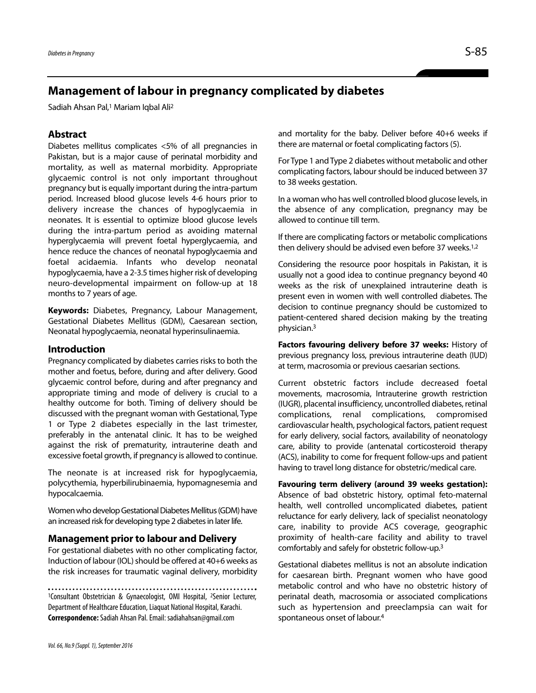# **Management of labour in pregnancy complicated by diabetes**

Sadiah Ahsan Pal,1 Mariam Iqbal Ali2

# **Abstract**

Diabetes mellitus complicates <5% of all pregnancies in Pakistan, but is a major cause of perinatal morbidity and mortality, as well as maternal morbidity. Appropriate glycaemic control is not only important throughout pregnancy but is equally important during the intra-partum period. Increased blood glucose levels 4-6 hours prior to delivery increase the chances of hypoglycaemia in neonates. It is essential to optimize blood glucose levels during the intra-partum period as avoiding maternal hyperglycaemia will prevent foetal hyperglycaemia, and hence reduce the chances of neonatal hypoglycaemia and foetal acidaemia. Infants who develop neonatal hypoglycaemia, have a 2-3.5 times higher risk of developing neuro-developmental impairment on follow-up at 18 months to 7 years of age.

**Keywords:** Diabetes, Pregnancy, Labour Management, Gestational Diabetes Mellitus (GDM), Caesarean section, Neonatal hypoglycaemia, neonatal hyperinsulinaemia.

### **Introduction**

Pregnancy complicated by diabetes carries risks to both the mother and foetus, before, during and after delivery. Good glycaemic control before, during and after pregnancy and appropriate timing and mode of delivery is crucial to a healthy outcome for both. Timing of delivery should be discussed with the pregnant woman with Gestational, Type 1 or Type 2 diabetes especially in the last trimester, preferably in the antenatal clinic. It has to be weighed against the risk of prematurity, intrauterine death and excessive foetal growth, if pregnancy is allowed to continue.

The neonate is at increased risk for hypoglycaemia, polycythemia, hyperbilirubinaemia, hypomagnesemia and hypocalcaemia.

Women who develop Gestational Diabetes Mellitus (GDM) have an increased risk for developing type 2 diabetes in later life.

## **Management prior to labour and Delivery**

For gestational diabetes with no other complicating factor, Induction of labour (IOL) should be offered at 40+6 weeks as the risk increases for traumatic vaginal delivery, morbidity

1Consultant Obstetrician & Gynaecologist, OMI Hospital, 2Senior Lecturer, Department of Healthcare Education, Liaquat National Hospital, Karachi. **Correspondence:**Sadiah Ahsan Pal. Email: sadiahahsan@gmail.com

and mortality for the baby. Deliver before 40+6 weeks if there are maternal or foetal complicating factors (5).

For Type 1 and Type 2 diabetes without metabolic and other complicating factors, labour should be induced between 37 to 38 weeks gestation.

In a woman who has well controlled blood glucose levels, in the absence of any complication, pregnancy may be allowed to continue till term.

If there are complicating factors or metabolic complications then delivery should be advised even before 37 weeks.<sup>1,2</sup>

Considering the resource poor hospitals in Pakistan, it is usually not a good idea to continue pregnancy beyond 40 weeks as the risk of unexplained intrauterine death is present even in women with well controlled diabetes. The decision to continue pregnancy should be customized to patient-centered shared decision making by the treating physician.3

**Factors favouring delivery before 37 weeks:** History of previous pregnancy loss, previous intrauterine death (IUD) at term, macrosomia or previous caesarian sections.

Current obstetric factors include decreased foetal movements, macrosomia, Intrauterine growth restriction (IUGR), placental insufficiency, uncontrolled diabetes, retinal complications, renal complications, compromised cardiovascular health, psychological factors, patient request for early delivery, social factors, availability of neonatology care, ability to provide (antenatal corticosteroid therapy (ACS), inability to come for frequent follow-ups and patient having to travel long distance for obstetric/medical care.

**Favouring term delivery (around 39 weeks gestation):** Absence of bad obstetric history, optimal feto-maternal health, well controlled uncomplicated diabetes, patient reluctance for early delivery, lack of specialist neonatology care, inability to provide ACS coverage, geographic proximity of health-care facility and ability to travel comfortably and safely for obstetric follow-up.3

Gestational diabetes mellitus is not an absolute indication for caesarean birth. Pregnant women who have good metabolic control and who have no obstetric history of perinatal death, macrosomia or associated complications such as hypertension and preeclampsia can wait for spontaneous onset of labour.4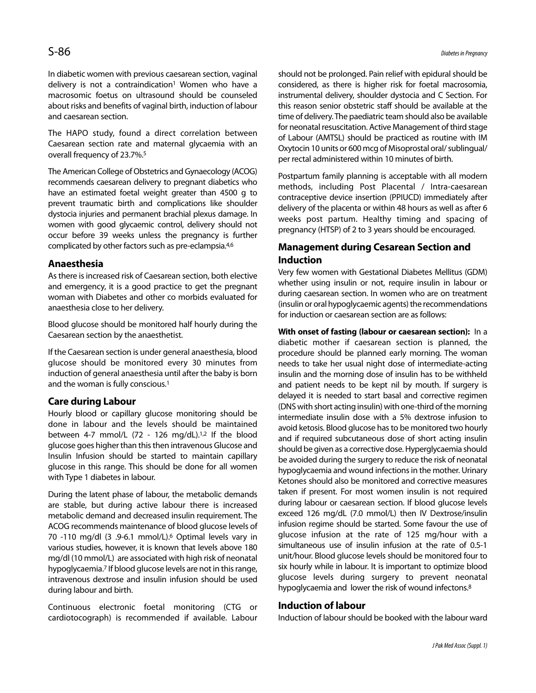In diabetic women with previous caesarean section, vaginal delivery is not a contraindication<sup>1</sup> Women who have a macrosomic foetus on ultrasound should be counseled about risks and benefits of vaginal birth, induction of labour and caesarean section.

The HAPO study, found a direct correlation between Caesarean section rate and maternal glycaemia with an overall frequency of 23.7%.5

The American College of Obstetrics and Gynaecology (ACOG) recommends caesarean delivery to pregnant diabetics who have an estimated foetal weight greater than 4500 g to prevent traumatic birth and complications like shoulder dystocia injuries and permanent brachial plexus damage. In women with good glycaemic control, delivery should not occur before 39 weeks unless the pregnancy is further complicated by other factors such as pre-eclampsia.4,6

# **Anaesthesia**

As there is increased risk of Caesarean section, both elective and emergency, it is a good practice to get the pregnant woman with Diabetes and other co morbids evaluated for anaesthesia close to her delivery.

Blood glucose should be monitored half hourly during the Caesarean section by the anaesthetist.

If the Caesarean section is under general anaesthesia, blood glucose should be monitored every 30 minutes from induction of general anaesthesia until after the baby is born and the woman is fully conscious.1

# **Care during Labour**

Hourly blood or capillary glucose monitoring should be done in labour and the levels should be maintained between 4-7 mmol/L (72 - 126 mg/dL).<sup>1,2</sup> If the blood glucose goes higher than this then intravenous Glucose and Insulin Infusion should be started to maintain capillary glucose in this range. This should be done for all women with Type 1 diabetes in labour.

During the latent phase of labour, the metabolic demands are stable, but during active labour there is increased metabolic demand and decreased insulin requirement. The ACOG recommends maintenance of blood glucose levels of 70 -110 mg/dl (3 .9-6.1 mmol/L).6 Optimal levels vary in various studies, however, it is known that levels above 180 mg/dl (10 mmol/L) are associated with high risk of neonatal hypoglycaemia.7 If blood glucose levels are not in this range, intravenous dextrose and insulin infusion should be used during labour and birth.

Continuous electronic foetal monitoring (CTG or cardiotocograph) is recommended if available. Labour should not be prolonged. Pain relief with epidural should be considered, as there is higher risk for foetal macrosomia, instrumental delivery, shoulder dystocia and C Section. For this reason senior obstetric staff should be available at the time of delivery. The paediatric team should also be available for neonatal resuscitation. Active Management of third stage of Labour (AMTSL) should be practiced as routine with IM Oxytocin 10 units or 600 mcg of Misoprostal oral/ sublingual/ per rectal administered within 10 minutes of birth.

Postpartum family planning is acceptable with all modern methods, including Post Placental / Intra-caesarean contraceptive device insertion (PPIUCD) immediately after delivery of the placenta or within 48 hours as well as after 6 weeks post partum. Healthy timing and spacing of pregnancy (HTSP) of 2 to 3 years should be encouraged.

# **Management during Cesarean Section and Induction**

Very few women with Gestational Diabetes Mellitus (GDM) whether using insulin or not, require insulin in labour or during caesarean section. In women who are on treatment (insulin or oral hypoglycaemic agents) the recommendations for induction or caesarean section are as follows:

**With onset of fasting (labour or caesarean section):** In a diabetic mother if caesarean section is planned, the procedure should be planned early morning. The woman needs to take her usual night dose of intermediate-acting insulin and the morning dose of insulin has to be withheld and patient needs to be kept nil by mouth. If surgery is delayed it is needed to start basal and corrective regimen (DNS with short acting insulin) with one-third of the morning intermediate insulin dose with a 5% dextrose infusion to avoid ketosis. Blood glucose has to be monitored two hourly and if required subcutaneous dose of short acting insulin should be given as a corrective dose. Hyperglycaemia should be avoided during the surgery to reduce the risk of neonatal hypoglycaemia and wound infections in the mother. Urinary Ketones should also be monitored and corrective measures taken if present. For most women insulin is not required during labour or caesarean section. If blood glucose levels exceed 126 mg/dL (7.0 mmol/L) then IV Dextrose/insulin infusion regime should be started. Some favour the use of glucose infusion at the rate of 125 mg/hour with a simultaneous use of insulin infusion at the rate of 0.5-1 unit/hour. Blood glucose levels should be monitored four to six hourly while in labour. It is important to optimize blood glucose levels during surgery to prevent neonatal hypoglycaemia and lower the risk of wound infectons.<sup>8</sup>

### **Induction of labour**

Induction of labour should be booked with the labour ward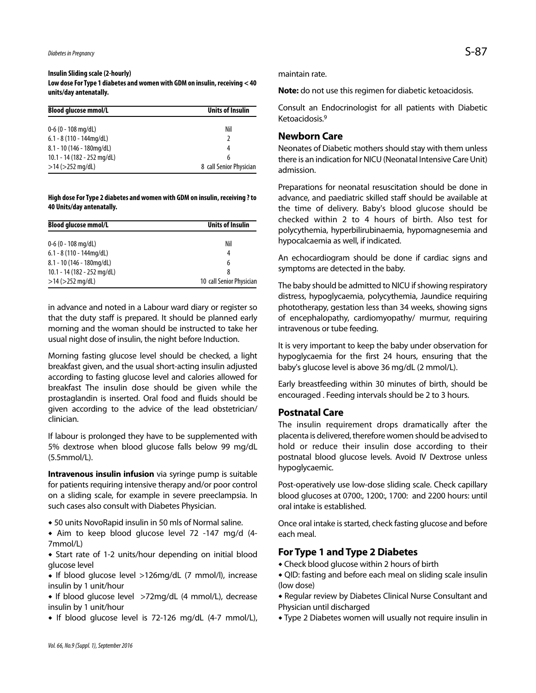# **Insulin Sliding scale (2-hourly)**

**Low dose For Type 1 diabetes and women with GDM on insulin, receiving < 40 units/day antenatally.**

| <b>Blood glucose mmol/L</b> | Units of Insulin        |
|-----------------------------|-------------------------|
| $0-6$ (0 - 108 mg/dL)       | Nil                     |
| $6.1 - 8(110 - 144mg/dL)$   |                         |
| $8.1 - 10$ (146 - 180mg/dL) | 4                       |
| 10.1 - 14 (182 - 252 mg/dL) | 6                       |
| $>14$ ( $>252$ mg/dL)       | 8 call Senior Physician |

#### **High dose For Type 2 diabetes and women with GDM on insulin, receiving ? to 40 Units/day antenatally.**

| <b>Blood glucose mmol/L</b> | Units of Insulin         |
|-----------------------------|--------------------------|
| $0 - 6$ (0 - 108 mg/dL)     | Nil                      |
| $6.1 - 8(110 - 144mg/dL)$   | 4                        |
| $8.1 - 10$ (146 - 180mg/dL) | 6                        |
| 10.1 - 14 (182 - 252 mg/dL) | 8                        |
| $>14$ ( $>252$ mg/dL)       | 10 call Senior Physician |

in advance and noted in a Labour ward diary or register so that the duty staff is prepared. It should be planned early morning and the woman should be instructed to take her usual night dose of insulin, the night before Induction.

Morning fasting glucose level should be checked, a light breakfast given, and the usual short-acting insulin adjusted according to fasting glucose level and calories allowed for breakfast The insulin dose should be given while the prostaglandin is inserted. Oral food and fluids should be given according to the advice of the lead obstetrician/ clinician.

If labour is prolonged they have to be supplemented with 5% dextrose when blood glucose falls below 99 mg/dL (5.5mmol/L).

**Intravenous insulin infusion** via syringe pump is suitable for patients requiring intensive therapy and/or poor control on a sliding scale, for example in severe preeclampsia. In such cases also consult with Diabetes Physician.

50 units NovoRapid insulin in 50 mls of Normal saline.

 Aim to keep blood glucose level 72 -147 mg/d (4- 7mmol/L)

 Start rate of 1-2 units/hour depending on initial blood glucose level

• If blood glucose level >126mg/dL (7 mmol/l), increase insulin by 1 unit/hour

• If blood glucose level >72mg/dL (4 mmol/L), decrease insulin by 1 unit/hour

• If blood glucose level is 72-126 mg/dL (4-7 mmol/L),

maintain rate.

**Note:** do not use this regimen for diabetic ketoacidosis.

Consult an Endocrinologist for all patients with Diabetic Ketoacidosis<sup>9</sup>

# **Newborn Care**

Neonates of Diabetic mothers should stay with them unless there is an indication for NICU (Neonatal Intensive Care Unit) admission.

Preparations for neonatal resuscitation should be done in advance, and paediatric skilled staff should be available at the time of delivery. Baby's blood glucose should be checked within 2 to 4 hours of birth. Also test for polycythemia, hyperbilirubinaemia, hypomagnesemia and hypocalcaemia as well, if indicated.

An echocardiogram should be done if cardiac signs and symptoms are detected in the baby.

The baby should be admitted to NICU if showing respiratory distress, hypoglycaemia, polycythemia, Jaundice requiring phototherapy, gestation less than 34 weeks, showing signs of encephalopathy, cardiomyopathy/ murmur, requiring intravenous or tube feeding.

It is very important to keep the baby under observation for hypoglycaemia for the first 24 hours, ensuring that the baby's glucose level is above 36 mg/dL (2 mmol/L).

Early breastfeeding within 30 minutes of birth, should be encouraged . Feeding intervals should be 2 to 3 hours.

### **Postnatal Care**

The insulin requirement drops dramatically after the placenta is delivered, therefore women should be advised to hold or reduce their insulin dose according to their postnatal blood glucose levels. Avoid IV Dextrose unless hypoglycaemic.

Post-operatively use low-dose sliding scale. Check capillary blood glucoses at 0700:, 1200:, 1700: and 2200 hours: until oral intake is established.

Once oral intake is started, check fasting glucose and before each meal.

### **For Type 1 and Type 2 Diabetes**

- Check blood glucose within 2 hours of birth
- QID: fasting and before each meal on sliding scale insulin (low dose)
- Regular review by Diabetes Clinical Nurse Consultant and Physician until discharged
- Type 2 Diabetes women will usually not require insulin in